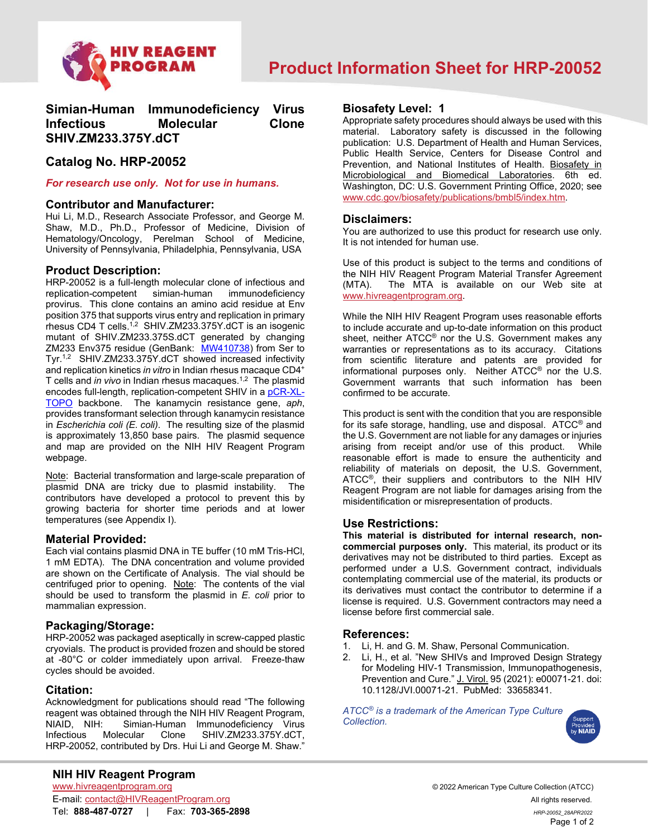

# **Simian-Human Immunodeficiency Virus Infectious Molecular Clone SHIV.ZM233.375Y.dCT**

## **Catalog No. HRP-20052**

#### *For research use only. Not for use in humans.*

#### **Contributor and Manufacturer:**

Hui Li, M.D., Research Associate Professor, and George M. Shaw, M.D., Ph.D., Professor of Medicine, Division of Hematology/Oncology, Perelman School of Medicine, University of Pennsylvania, Philadelphia, Pennsylvania, USA

## **Product Description:**

HRP-20052 is a full-length molecular clone of infectious and replication-competent provirus. This clone contains an amino acid residue at Env position 375 that supports virus entry and replication in primary rhesus CD4 T cells. $^{1,2}\,$  SHIV.ZM233.375Y.dCT is an isogenic mutant of SHIV.ZM233.375S.dCT generated by changing ZM233 Env375 residue (GenBank: <u>MW410738</u>) from Ser to Tyr.<sup>1,2</sup> SHIV.ZM233.375Y.dCT showed increased infectivity and replication kinetics *in vitro* in Indian rhesus macaque CD4+ T cells and *in vivo* in Indian rhesus macaques.<sup>1,2</sup> The plasmid encodes full-length, replication-competent SHIV in a <u>pCR-XL-</u> [TOPO](https://assets.fishersci.com/TFS-Assets/LSG/manuals/TOPO_XL-2_Vector.docx?_ga=2.46259940.233519730.1643146610-1982692922.1643146610) backbone. The kanamycin resistance gene, *aph*, provides transformant selection through kanamycin resistance in *Escherichia coli (E. coli)*. The resulting size of the plasmid is approximately 13,850 base pairs. The plasmid sequence and map are provided on the NIH HIV Reagent Program webpage.

Note: Bacterial transformation and large-scale preparation of plasmid DNA are tricky due to plasmid instability. The contributors have developed a protocol to prevent this by growing bacteria for shorter time periods and at lower temperatures (see Appendix I).

#### **Material Provided:**

Each vial contains plasmid DNA in TE buffer (10 mM Tris-HCl, 1 mM EDTA). The DNA concentration and volume provided are shown on the Certificate of Analysis. The vial should be centrifuged prior to opening. Note: The contents of the vial should be used to transform the plasmid in *E. coli* prior to mammalian expression.

#### **Packaging/Storage:**

HRP-20052 was packaged aseptically in screw-capped plastic cryovials. The product is provided frozen and should be stored at -80°C or colder immediately upon arrival. Freeze-thaw cycles should be avoided.

#### **Citation:**

Acknowledgment for publications should read "The following reagent was obtained through the NIH HIV Reagent Program, NIAID, NIH: Simian-Human Immunodeficiency Virus Infectious Molecular Clone SHIV.ZM233.375Y.dCT, HRP-20052, contributed by Drs. Hui Li and George M. Shaw."

## **Biosafety Level: 1**

Appropriate safety procedures should always be used with this material. Laboratory safety is discussed in the following publication: U.S. Department of Health and Human Services, Public Health Service, Centers for Disease Control and Prevention, and National Institutes of Health. Biosafety in Microbiological and Biomedical Laboratories. 6th ed. Washington, DC: U.S. Government Printing Office, 2020; see [www.cdc.gov/biosafety/publications/bmbl5/index.htm.](http://www.cdc.gov/biosafety/publications/bmbl5/index.htm)

#### **Disclaimers:**

You are authorized to use this product for research use only. It is not intended for human use.

Use of this product is subject to the terms and conditions of the NIH HIV Reagent Program Material Transfer Agreement<br>(MTA). The MTA is available on our Web site at The MTA is available on our Web site at [www.hivreagentprogram.org.](https://www.hivreagentprogram.org/Home.aspx)

While the NIH HIV Reagent Program uses reasonable efforts to include accurate and up-to-date information on this product sheet, neither ATCC® nor the U.S. Government makes any warranties or representations as to its accuracy. Citations from scientific literature and patents are provided for informational purposes only. Neither ATCC® nor the U.S. Government warrants that such information has been confirmed to be accurate.

This product is sent with the condition that you are responsible for its safe storage, handling, use and disposal. ATCC® and the U.S. Government are not liable for any damages or injuries arising from receipt and/or use of this product. While reasonable effort is made to ensure the authenticity and reliability of materials on deposit, the U.S. Government, ATCC®, their suppliers and contributors to the NIH HIV Reagent Program are not liable for damages arising from the misidentification or misrepresentation of products.

### **Use Restrictions:**

**This material is distributed for internal research, noncommercial purposes only.** This material, its product or its derivatives may not be distributed to third parties. Except as performed under a U.S. Government contract, individuals contemplating commercial use of the material, its products or its derivatives must contact the contributor to determine if a license is required. U.S. Government contractors may need a license before first commercial sale.

#### **References:**

- 1. Li, H. and G. M. Shaw, Personal Communication.<br>2. Li, H., et al. "New SHIVs and Improved Design S
- Li, H., et al. "New SHIVs and Improved Design Strategy for Modeling HIV-1 Transmission, Immunopathogenesis, Prevention and Cure." J. Virol. 95 (2021): e00071-21. doi: 10.1128/JVI.00071-21. PubMed: 33658341.

*ATCC® is a trademark of the American Type Culture Collection.*



© 2022 American Type Culture Collection (ATCC) Page 1 of 2